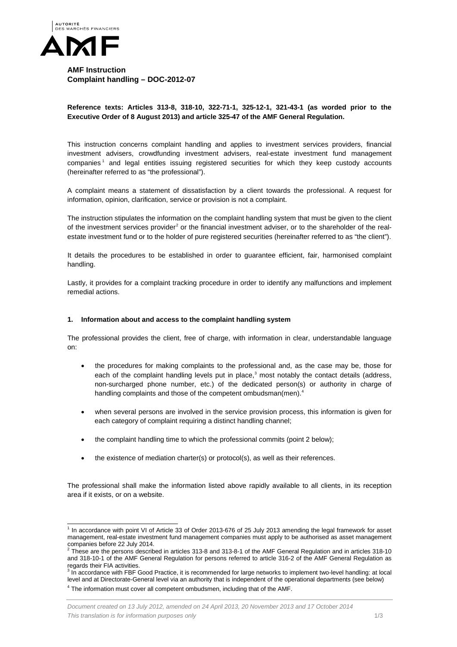

**AMF Instruction Complaint handling – DOC-2012-07**

## **Reference texts: Articles 313-8, 318-10, 322-71-1, 325-12-1, 321-43-1 (as worded prior to the Executive Order of 8 August 2013) and article 325-47 of the AMF General Regulation.**

This instruction concerns complaint handling and applies to investment services providers, financial investment advisers, crowdfunding investment advisers, real-estate investment fund management companies<sup>[1](#page-0-0)</sup> and legal entities issuing registered securities for which they keep custody accounts (hereinafter referred to as "the professional").

A complaint means a statement of dissatisfaction by a client towards the professional. A request for information, opinion, clarification, service or provision is not a complaint.

The instruction stipulates the information on the complaint handling system that must be given to the client of the investment services provider<sup>[2](#page-0-1)</sup> or the financial investment adviser, or to the shareholder of the realestate investment fund or to the holder of pure registered securities (hereinafter referred to as "the client").

It details the procedures to be established in order to guarantee efficient, fair, harmonised complaint handling.

Lastly, it provides for a complaint tracking procedure in order to identify any malfunctions and implement remedial actions.

## **1. Information about and access to the complaint handling system**

The professional provides the client, free of charge, with information in clear, understandable language on:

- the procedures for making complaints to the professional and, as the case may be, those for each of the complaint handling levels put in place, $3$  most notably the contact details (address, non-surcharged phone number, etc.) of the dedicated person(s) or authority in charge of handling complaints and those of the competent ombudsman(men).<sup>[4](#page-0-3)</sup>
- when several persons are involved in the service provision process, this information is given for each category of complaint requiring a distinct handling channel;
- the complaint handling time to which the professional commits (point 2 below);
- the existence of mediation charter(s) or protocol(s), as well as their references.

The professional shall make the information listed above rapidly available to all clients, in its reception area if it exists, or on a website.

<span id="page-0-0"></span><sup>&</sup>lt;sup>1</sup> In accordance with point VI of Article 33 of Order 2013-676 of 25 July 2013 amending the legal framework for asset management, real-estate investment fund management companies must apply to be authorised as asset management companies before 22 July 2014.<br>
<sup>2</sup> These are the persons described in articles 313-8 and 313-8-1 of the AMF General Regulation and in articles 318-10

<span id="page-0-4"></span><span id="page-0-1"></span>and 318-10-1 of the AMF General Regulation for persons referred to article 316-2 of the AMF General Regulation as regards their FIA activities.

<span id="page-0-3"></span><span id="page-0-2"></span>In accordance with FBF Good Practice, it is recommended for large networks to implement two-level handling: at local level and at Directorate-General level via an authority that is independent of the operational departments (see below) <sup>4</sup> The information must cover all competent ombudsmen, including that of the AMF.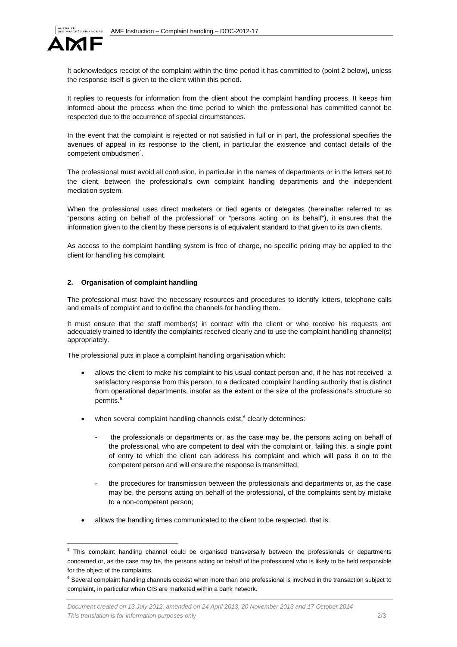

It acknowledges receipt of the complaint within the time period it has committed to (point 2 below), unless the response itself is given to the client within this period.

It replies to requests for information from the client about the complaint handling process. It keeps him informed about the process when the time period to which the professional has committed cannot be respected due to the occurrence of special circumstances.

In the event that the complaint is rejected or not satisfied in full or in part, the professional specifies the avenues of appeal in its response to the client, in particular the existence and contact details of the competent ombudsmen<sup>4</sup>.

The professional must avoid all confusion, in particular in the names of departments or in the letters set to the client, between the professional's own complaint handling departments and the independent mediation system.

When the professional uses direct marketers or tied agents or delegates (hereinafter referred to as "persons acting on behalf of the professional" or "persons acting on its behalf"), it ensures that the information given to the client by these persons is of equivalent standard to that given to its own clients.

As access to the complaint handling system is free of charge, no specific pricing may be applied to the client for handling his complaint.

## **2. Organisation of complaint handling**

The professional must have the necessary resources and procedures to identify letters, telephone calls and emails of complaint and to define the channels for handling them.

It must ensure that the staff member(s) in contact with the client or who receive his requests are adequately trained to identify the complaints received clearly and to use the complaint handling channel(s) appropriately.

The professional puts in place a complaint handling organisation which:

- allows the client to make his complaint to his usual contact person and, if he has not received a satisfactory response from this person, to a dedicated complaint handling authority that is distinct from operational departments, insofar as the extent or the size of the professional's structure so permits.<sup>[5](#page-0-4)</sup>
- when several complaint handling channels exist, $^6$  $^6$  clearly determines:
	- the professionals or departments or, as the case may be, the persons acting on behalf of the professional, who are competent to deal with the complaint or, failing this, a single point of entry to which the client can address his complaint and which will pass it on to the competent person and will ensure the response is transmitted;
	- the procedures for transmission between the professionals and departments or, as the case may be, the persons acting on behalf of the professional, of the complaints sent by mistake to a non-competent person;
- allows the handling times communicated to the client to be respected, that is:

<span id="page-1-1"></span><sup>&</sup>lt;sup>5</sup> This complaint handling channel could be organised transversally between the professionals or departments concerned or, as the case may be, the persons acting on behalf of the professional who is likely to be held responsible for the object of the complaints.

<span id="page-1-0"></span> $6$  Several complaint handling channels coexist when more than one professional is involved in the transaction subject to complaint, in particular when CIS are marketed within a bank network.